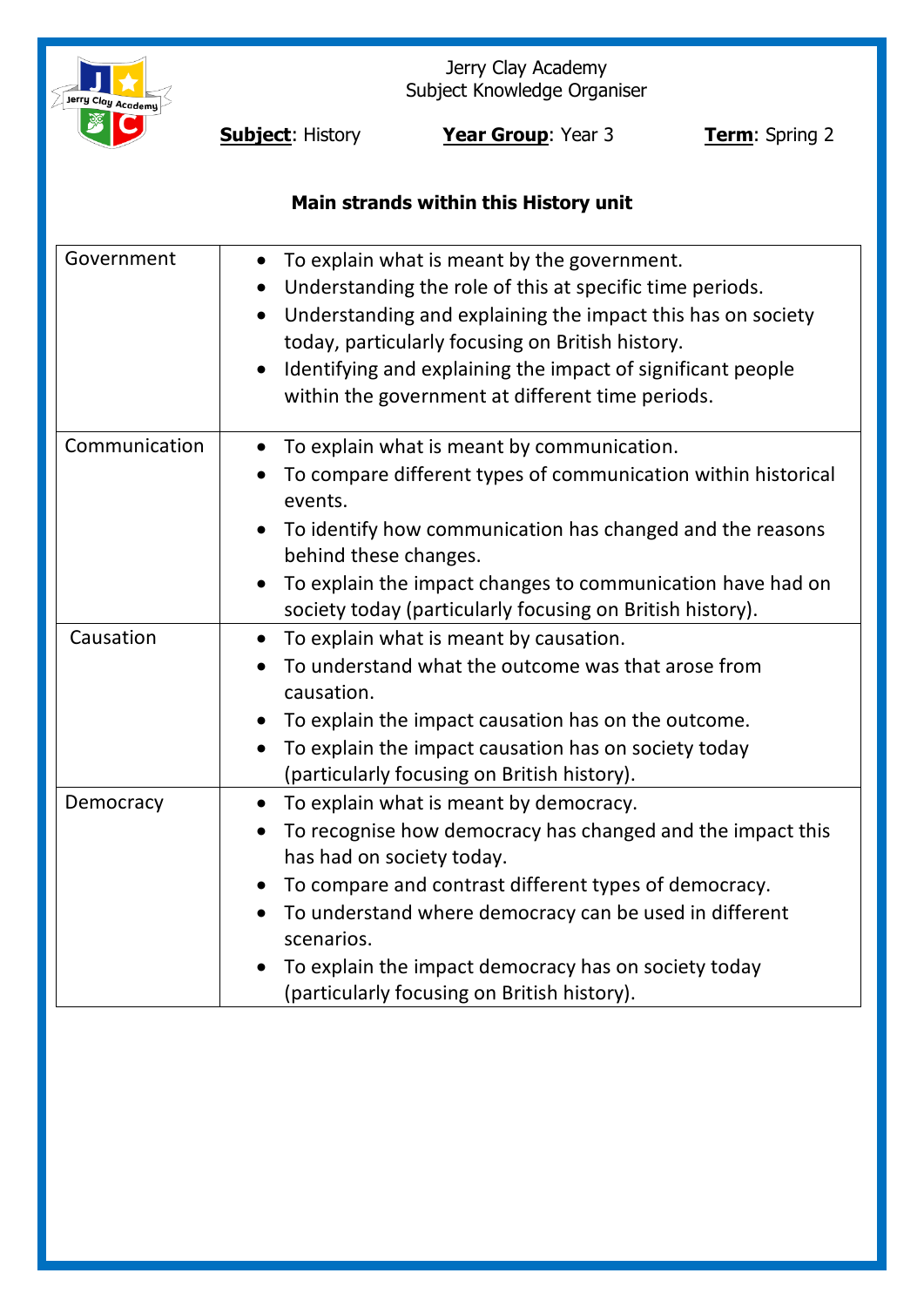

Jerry Clay Academy Subject Knowledge Organiser

**Subject:** History **Year Group**: Year 3 **Term**: Spring 2

# **Main strands within this History unit**

| Government    | To explain what is meant by the government.<br>Understanding the role of this at specific time periods.<br>$\bullet$<br>Understanding and explaining the impact this has on society<br>today, particularly focusing on British history.<br>Identifying and explaining the impact of significant people<br>within the government at different time periods.                             |
|---------------|----------------------------------------------------------------------------------------------------------------------------------------------------------------------------------------------------------------------------------------------------------------------------------------------------------------------------------------------------------------------------------------|
| Communication | To explain what is meant by communication.<br>To compare different types of communication within historical<br>events.<br>To identify how communication has changed and the reasons<br>behind these changes.<br>To explain the impact changes to communication have had on<br>society today (particularly focusing on British history).                                                |
| Causation     | To explain what is meant by causation.<br>$\bullet$<br>To understand what the outcome was that arose from<br>causation.<br>To explain the impact causation has on the outcome.<br>To explain the impact causation has on society today<br>$\bullet$<br>(particularly focusing on British history).                                                                                     |
| Democracy     | To explain what is meant by democracy.<br>To recognise how democracy has changed and the impact this<br>$\bullet$<br>has had on society today.<br>To compare and contrast different types of democracy.<br>To understand where democracy can be used in different<br>scenarios.<br>To explain the impact democracy has on society today<br>(particularly focusing on British history). |